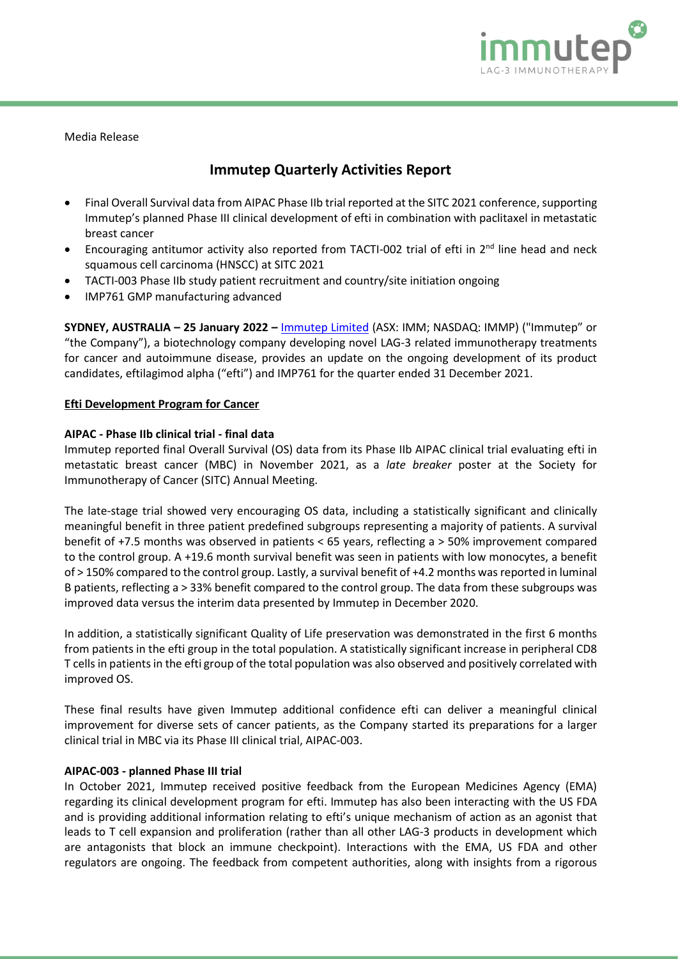

Media Release

# **Immutep Quarterly Activities Report**

- Final Overall Survival data from AIPAC Phase IIb trial reported at the SITC 2021 conference, supporting Immutep's planned Phase III clinical development of efti in combination with paclitaxel in metastatic breast cancer
- Encouraging antitumor activity also reported from TACTI-002 trial of efti in  $2^{nd}$  line head and neck squamous cell carcinoma (HNSCC) at SITC 2021
- TACTI-003 Phase IIb study patient recruitment and country/site initiation ongoing
- IMP761 GMP manufacturing advanced

**SYDNEY, AUSTRALIA – 25 January 2022 –** [Immutep Limited](http://www.immutep.com/) (ASX: IMM; NASDAQ: IMMP) ("Immutep" or "the Company"), a biotechnology company developing novel LAG-3 related immunotherapy treatments for cancer and autoimmune disease, provides an update on the ongoing development of its product candidates, eftilagimod alpha ("efti") and IMP761 for the quarter ended 31 December 2021.

## **Efti Development Program for Cancer**

## **AIPAC - Phase IIb clinical trial - final data**

Immutep reported final Overall Survival (OS) data from its Phase IIb AIPAC clinical trial evaluating efti in metastatic breast cancer (MBC) in November 2021, as a *late breaker* poster at the Society for Immunotherapy of Cancer (SITC) Annual Meeting.

The late-stage trial showed very encouraging OS data, including a statistically significant and clinically meaningful benefit in three patient predefined subgroups representing a majority of patients. A survival benefit of +7.5 months was observed in patients < 65 years, reflecting a > 50% improvement compared to the control group. A +19.6 month survival benefit was seen in patients with low monocytes, a benefit of > 150% compared to the control group. Lastly, a survival benefit of +4.2 months was reported in luminal B patients, reflecting a > 33% benefit compared to the control group. The data from these subgroups was improved data versus the interim data presented by Immutep in December 2020.

In addition, a statistically significant Quality of Life preservation was demonstrated in the first 6 months from patients in the efti group in the total population. A statistically significant increase in peripheral CD8 T cells in patients in the efti group of the total population was also observed and positively correlated with improved OS.

These final results have given Immutep additional confidence efti can deliver a meaningful clinical improvement for diverse sets of cancer patients, as the Company started its preparations for a larger clinical trial in MBC via its Phase III clinical trial, AIPAC-003.

#### **AIPAC-003 - planned Phase III trial**

In October 2021, Immutep received positive feedback from the European Medicines Agency (EMA) regarding its clinical development program for efti. Immutep has also been interacting with the US FDA and is providing additional information relating to efti's unique mechanism of action as an agonist that leads to T cell expansion and proliferation (rather than all other LAG-3 products in development which are antagonists that block an immune checkpoint). Interactions with the EMA, US FDA and other regulators are ongoing. The feedback from competent authorities, along with insights from a rigorous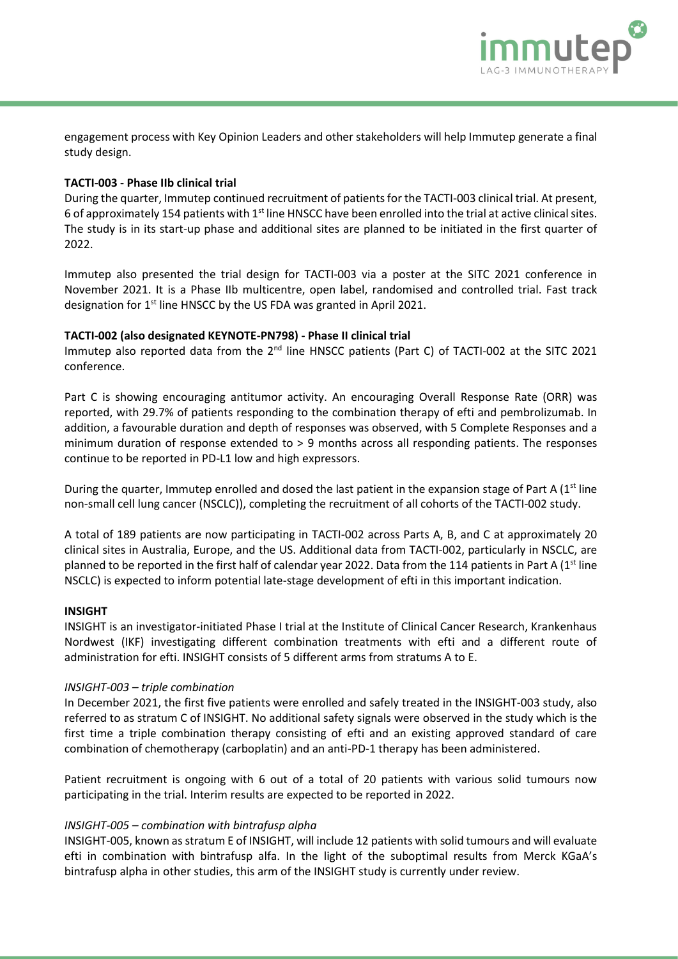

engagement process with Key Opinion Leaders and other stakeholders will help Immutep generate a final study design.

# **TACTI-003 - Phase IIb clinical trial**

During the quarter, Immutep continued recruitment of patients for the TACTI-003 clinical trial. At present, 6 of approximately 154 patients with 1<sup>st</sup> line HNSCC have been enrolled into the trial at active clinical sites. The study is in its start-up phase and additional sites are planned to be initiated in the first quarter of 2022.

Immutep also presented the trial design for TACTI-003 via a poster at the SITC 2021 conference in November 2021. It is a Phase IIb multicentre, open label, randomised and controlled trial. Fast track designation for 1<sup>st</sup> line HNSCC by the US FDA was granted in April 2021.

# **TACTI-002 (also designated KEYNOTE-PN798) - Phase II clinical trial**

Immutep also reported data from the 2<sup>nd</sup> line HNSCC patients (Part C) of TACTI-002 at the SITC 2021 conference.

Part C is showing encouraging antitumor activity. An encouraging Overall Response Rate (ORR) was reported, with 29.7% of patients responding to the combination therapy of efti and pembrolizumab. In addition, a favourable duration and depth of responses was observed, with 5 Complete Responses and a minimum duration of response extended to > 9 months across all responding patients. The responses continue to be reported in PD-L1 low and high expressors.

During the quarter, Immutep enrolled and dosed the last patient in the expansion stage of Part A ( $1<sup>st</sup>$  line non-small cell lung cancer (NSCLC)), completing the recruitment of all cohorts of the TACTI-002 study.

A total of 189 patients are now participating in TACTI-002 across Parts A, B, and C at approximately 20 clinical sites in Australia, Europe, and the US. Additional data from TACTI-002, particularly in NSCLC, are planned to be reported in the first half of calendar year 2022. Data from the 114 patients in Part A (1<sup>st</sup> line NSCLC) is expected to inform potential late-stage development of efti in this important indication.

## **INSIGHT**

INSIGHT is an investigator-initiated Phase I trial at the Institute of Clinical Cancer Research, Krankenhaus Nordwest (IKF) investigating different combination treatments with efti and a different route of administration for efti. INSIGHT consists of 5 different arms from stratums A to E.

## *INSIGHT-003 – triple combination*

In December 2021, the first five patients were enrolled and safely treated in the INSIGHT-003 study, also referred to as stratum C of INSIGHT. No additional safety signals were observed in the study which is the first time a triple combination therapy consisting of efti and an existing approved standard of care combination of chemotherapy (carboplatin) and an anti-PD-1 therapy has been administered.

Patient recruitment is ongoing with 6 out of a total of 20 patients with various solid tumours now participating in the trial. Interim results are expected to be reported in 2022.

## *INSIGHT-005 – combination with bintrafusp alpha*

INSIGHT-005, known as stratum E of INSIGHT, will include 12 patients with solid tumours and will evaluate efti in combination with bintrafusp alfa. In the light of the suboptimal results from Merck KGaA's bintrafusp alpha in other studies, this arm of the INSIGHT study is currently under review.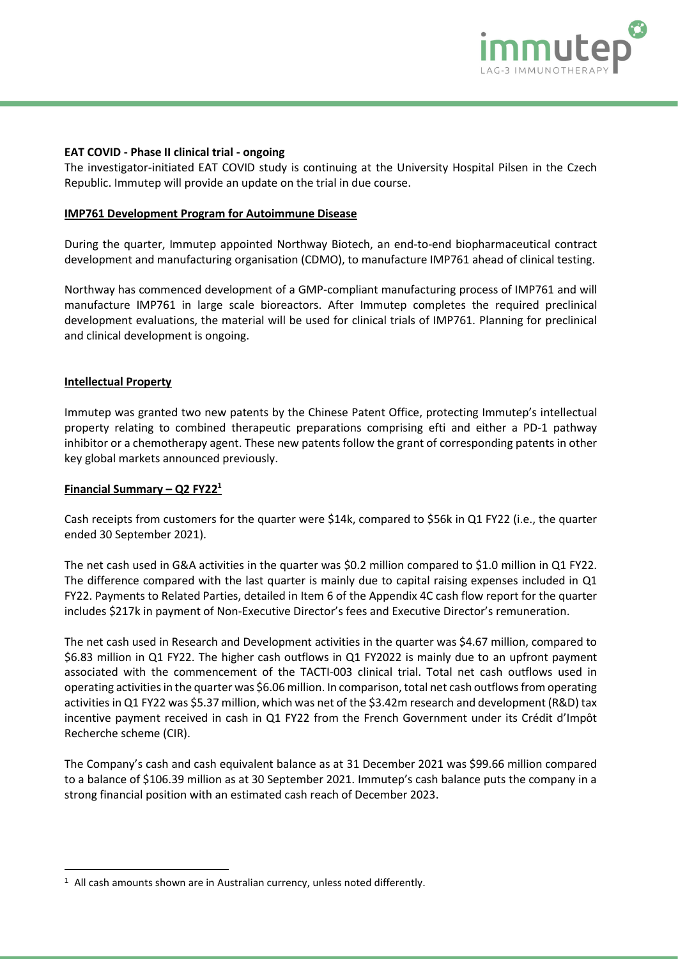

## **EAT COVID - Phase II clinical trial - ongoing**

The investigator-initiated EAT COVID study is continuing at the University Hospital Pilsen in the Czech Republic. Immutep will provide an update on the trial in due course.

## **IMP761 Development Program for Autoimmune Disease**

During the quarter, Immutep appointed Northway Biotech, an end-to-end biopharmaceutical contract development and manufacturing organisation (CDMO), to manufacture IMP761 ahead of clinical testing.

Northway has commenced development of a GMP-compliant manufacturing process of IMP761 and will manufacture IMP761 in large scale bioreactors. After Immutep completes the required preclinical development evaluations, the material will be used for clinical trials of IMP761. Planning for preclinical and clinical development is ongoing.

## **Intellectual Property**

Immutep was granted two new patents by the Chinese Patent Office, protecting Immutep's intellectual property relating to combined therapeutic preparations comprising efti and either a PD-1 pathway inhibitor or a chemotherapy agent. These new patents follow the grant of corresponding patents in other key global markets announced previously.

#### **Financial Summary – Q2 FY22<sup>1</sup>**

Cash receipts from customers for the quarter were \$14k, compared to \$56k in Q1 FY22 (i.e., the quarter ended 30 September 2021).

The net cash used in G&A activities in the quarter was \$0.2 million compared to \$1.0 million in Q1 FY22. The difference compared with the last quarter is mainly due to capital raising expenses included in Q1 FY22. Payments to Related Parties, detailed in Item 6 of the Appendix 4C cash flow report for the quarter includes \$217k in payment of Non-Executive Director's fees and Executive Director's remuneration.

The net cash used in Research and Development activities in the quarter was \$4.67 million, compared to \$6.83 million in Q1 FY22. The higher cash outflows in Q1 FY2022 is mainly due to an upfront payment associated with the commencement of the TACTI-003 clinical trial. Total net cash outflows used in operating activities in the quarter was \$6.06 million. In comparison, total net cash outflows from operating activities in Q1 FY22 was \$5.37 million, which was net of the \$3.42m research and development (R&D) tax incentive payment received in cash in Q1 FY22 from the French Government under its Crédit d'Impôt Recherche scheme (CIR).

The Company's cash and cash equivalent balance as at 31 December 2021 was \$99.66 million compared to a balance of \$106.39 million as at 30 September 2021. Immutep's cash balance puts the company in a strong financial position with an estimated cash reach of December 2023.

 $1$  All cash amounts shown are in Australian currency, unless noted differently.